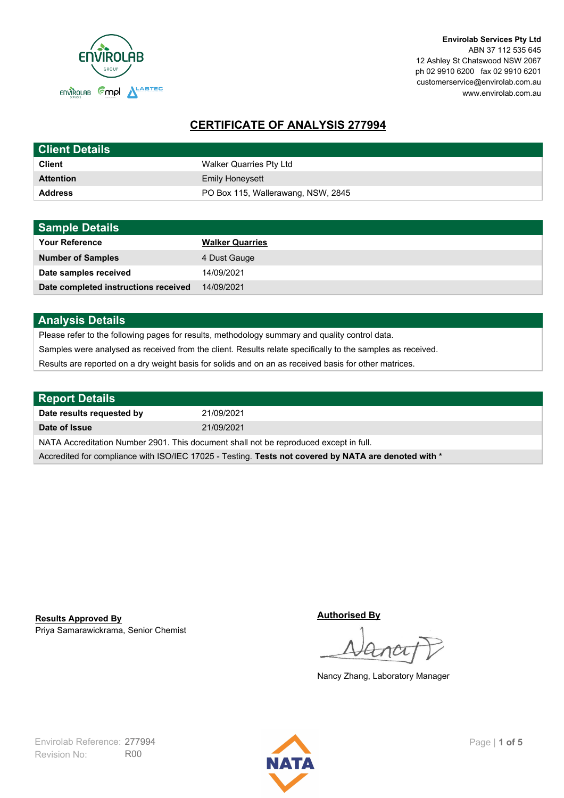

**Envirolab Services Pty Ltd** ABN 37 112 535 645 12 Ashley St Chatswood NSW 2067 ph 02 9910 6200 fax 02 9910 6201 customerservice@envirolab.com.au www.envirolab.com.au

# **CERTIFICATE OF ANALYSIS 277994**

| <b>Client Details</b> |                                    |
|-----------------------|------------------------------------|
| <b>Client</b>         | Walker Quarries Pty Ltd            |
| <b>Attention</b>      | <b>Emily Honeysett</b>             |
| <b>Address</b>        | PO Box 115, Wallerawang, NSW, 2845 |

| <b>Sample Details</b>                |                        |
|--------------------------------------|------------------------|
| <b>Your Reference</b>                | <b>Walker Quarries</b> |
| <b>Number of Samples</b>             | 4 Dust Gauge           |
| Date samples received                | 14/09/2021             |
| Date completed instructions received | 14/09/2021             |

## **Analysis Details**

Please refer to the following pages for results, methodology summary and quality control data.

Samples were analysed as received from the client. Results relate specifically to the samples as received.

Results are reported on a dry weight basis for solids and on an as received basis for other matrices.

| <b>Report Details</b>                                                                                |            |  |
|------------------------------------------------------------------------------------------------------|------------|--|
| Date results requested by                                                                            | 21/09/2021 |  |
| Date of Issue                                                                                        | 21/09/2021 |  |
| NATA Accreditation Number 2901. This document shall not be reproduced except in full.                |            |  |
| Accredited for compliance with ISO/IEC 17025 - Testing. Tests not covered by NATA are denoted with * |            |  |

Priya Samarawickrama, Senior Chemist **Results Approved By**

**Authorised By**

Nancy Zhang, Laboratory Manager

Revision No: R00 Envirolab Reference: 277994 Page | 1 of 5

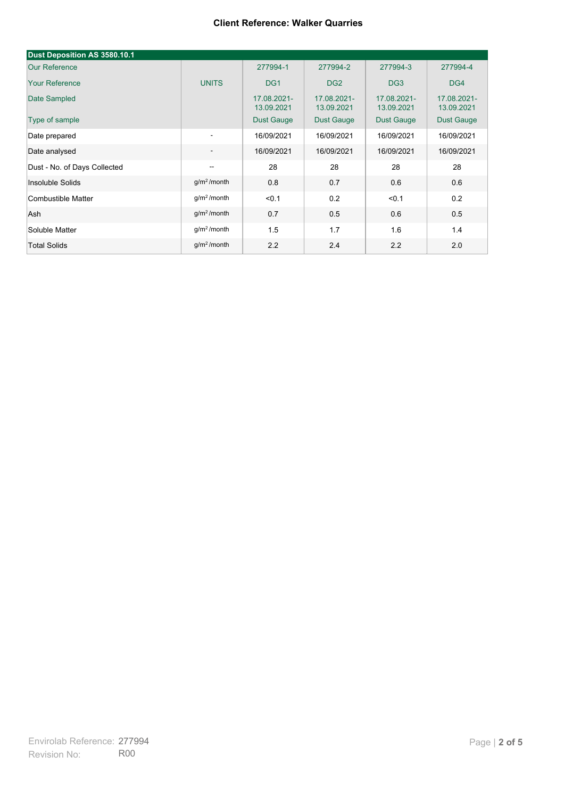| Dust Deposition AS 3580.10.1 |                          |                           |                           |                           |                           |
|------------------------------|--------------------------|---------------------------|---------------------------|---------------------------|---------------------------|
| <b>Our Reference</b>         |                          | 277994-1                  | 277994-2                  | 277994-3                  | 277994-4                  |
| <b>Your Reference</b>        | <b>UNITS</b>             | DG <sub>1</sub>           | DG <sub>2</sub>           | DG <sub>3</sub>           | DG4                       |
| Date Sampled                 |                          | 17.08.2021-<br>13.09.2021 | 17.08.2021-<br>13.09.2021 | 17.08.2021-<br>13.09.2021 | 17.08.2021-<br>13.09.2021 |
| Type of sample               |                          | <b>Dust Gauge</b>         | <b>Dust Gauge</b>         | <b>Dust Gauge</b>         | Dust Gauge                |
| Date prepared                | $\overline{\phantom{a}}$ | 16/09/2021                | 16/09/2021                | 16/09/2021                | 16/09/2021                |
| Date analysed                | $\overline{\phantom{a}}$ | 16/09/2021                | 16/09/2021                | 16/09/2021                | 16/09/2021                |
| Dust - No. of Days Collected | $\overline{\phantom{a}}$ | 28                        | 28                        | 28                        | 28                        |
| Insoluble Solids             | g/m <sup>2</sup> /month  | 0.8                       | 0.7                       | 0.6                       | 0.6                       |
| Combustible Matter           | q/m <sup>2</sup> /month  | < 0.1                     | 0.2                       | < 0.1                     | 0.2                       |
| Ash                          | g/m <sup>2</sup> /month  | 0.7                       | 0.5                       | 0.6                       | 0.5                       |
| Soluble Matter               | g/m <sup>2</sup> /month  | 1.5                       | 1.7                       | 1.6                       | 1.4                       |
| <b>Total Solids</b>          | g/m <sup>2</sup> /month  | 2.2                       | 2.4                       | 2.2                       | 2.0                       |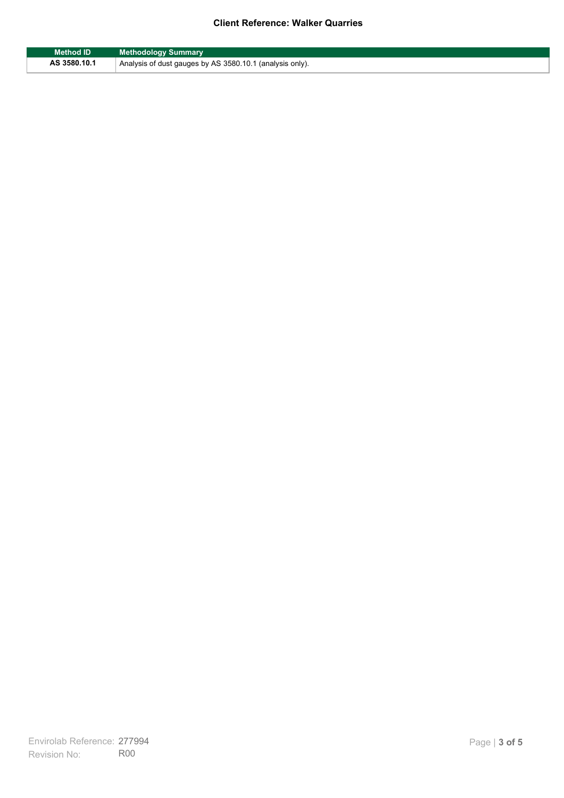| <b>Method ID</b> | <b>Methodology Summary</b>                               |
|------------------|----------------------------------------------------------|
| AS 3580.10.1     | Analysis of dust gauges by AS 3580.10.1 (analysis only). |

F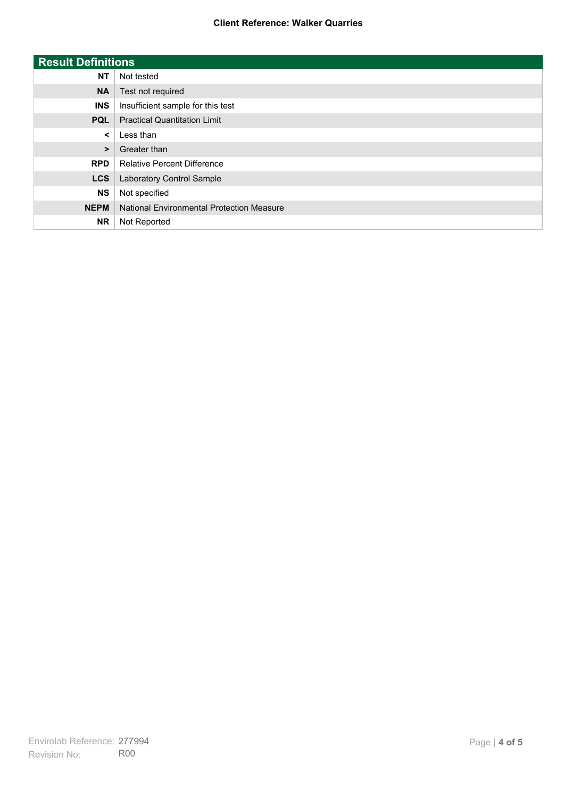| <b>Result Definitions</b> |                                           |
|---------------------------|-------------------------------------------|
| <b>NT</b>                 | Not tested                                |
| <b>NA</b>                 | Test not required                         |
| <b>INS</b>                | Insufficient sample for this test         |
| <b>PQL</b>                | <b>Practical Quantitation Limit</b>       |
| $\prec$                   | Less than                                 |
| $\geq$                    | Greater than                              |
| <b>RPD</b>                | <b>Relative Percent Difference</b>        |
| <b>LCS</b>                | Laboratory Control Sample                 |
| <b>NS</b>                 | Not specified                             |
| <b>NEPM</b>               | National Environmental Protection Measure |
| <b>NR</b>                 | Not Reported                              |